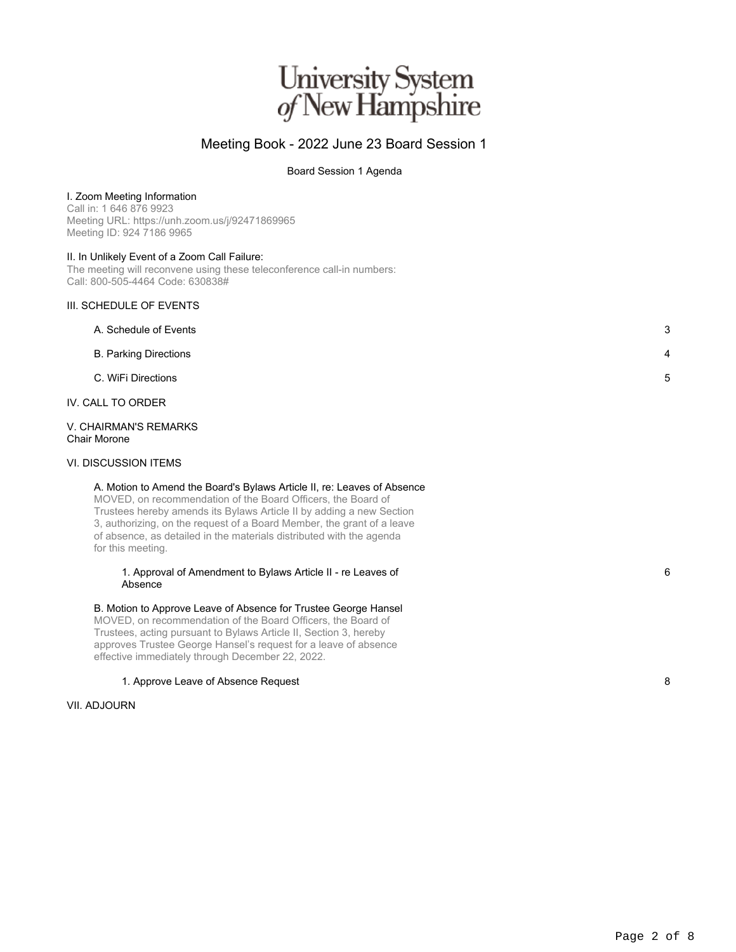# University System<br>of New Hampshire

### Meeting Book - 2022 June 23 Board Session 1

Board Session 1 Agenda

#### I. Zoom Meeting Information

Call in: 1 646 876 9923 Meeting URL: https://unh.zoom.us/j/92471869965 Meeting ID: 924 7186 9965

#### II. In Unlikely Event of a Zoom Call Failure:

The meeting will reconvene using these teleconference call-in numbers: Call: 800-505-4464 Code: 630838#

#### III. SCHEDULE OF EVENTS

| A. Schedule of Events        | 3  |
|------------------------------|----|
| <b>B. Parking Directions</b> | 4  |
| C. WiFi Directions           | -5 |

#### IV. CALL TO ORDER

V. CHAIRMAN'S REMARKS Chair Morone

#### VI. DISCUSSION ITEMS

#### A. Motion to Amend the Board's Bylaws Article II, re: Leaves of Absence

MOVED, on recommendation of the Board Officers, the Board of Trustees hereby amends its Bylaws Article II by adding a new Section 3, authorizing, on the request of a Board Member, the grant of a leave of absence, as detailed in the materials distributed with the agenda for this meeting.

#### 1. Approval of Amendment to Bylaws Article II - re Leaves of Absence

#### B. Motion to Approve Leave of Absence for Trustee George Hansel MOVED, on recommendation of the Board Officers, the Board of

Trustees, acting pursuant to Bylaws Article II, Section 3, hereby approves Trustee George Hansel's request for a leave of absence effective immediately through December 22, 2022.

#### 1. Approve Leave of Absence Request 8

#### VII. ADJOURN

6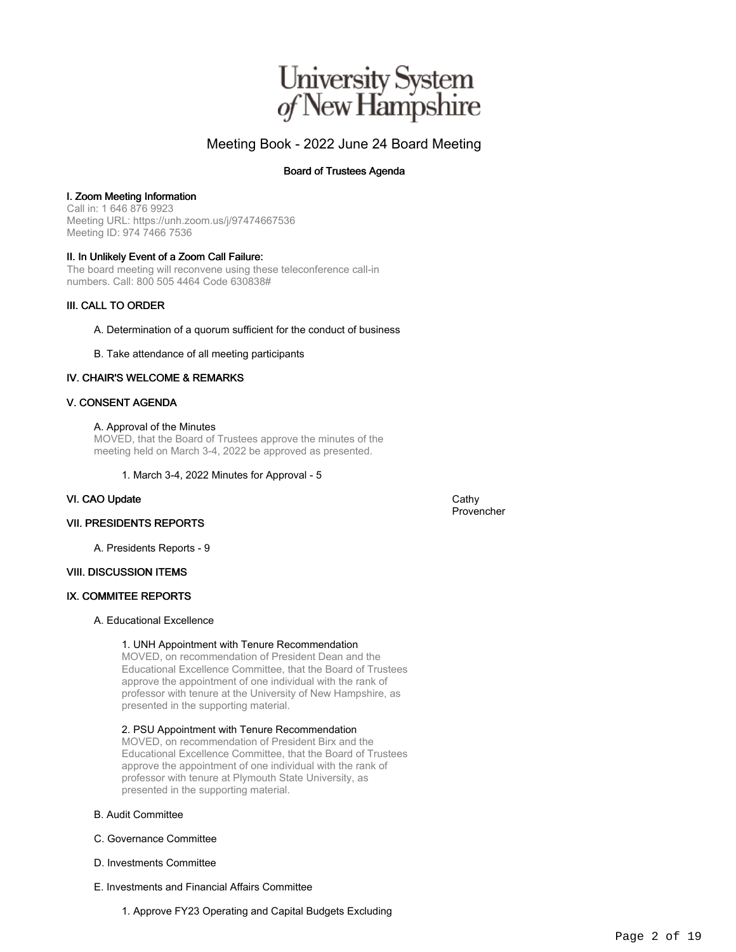## University System<br>of New Hampshire

### Meeting Book - 2022 June 24 Board Meeting

#### Board of Trustees Agenda

#### I. Zoom Meeting Information

Call in: 1 646 876 9923 Meeting URL: https://unh.zoom.us/j/97474667536 Meeting ID: 974 7466 7536

#### II. In Unlikely Event of a Zoom Call Failure:

The board meeting will reconvene using these teleconference call-in numbers. Call: 800 505 4464 Code 630838#

#### III. CALL TO ORDER

#### A. Determination of a quorum sufficient for the conduct of business

B. Take attendance of all meeting participants

#### IV. CHAIR'S WELCOME & REMARKS

#### V. CONSENT AGENDA

#### A. Approval of the Minutes

MOVED, that the Board of Trustees approve the minutes of the meeting held on March 3-4, 2022 be approved as presented.

#### 1. March 3-4, 2022 Minutes for Approval - 5

#### VI. CAO Update Cathy Cathy Cathy Cathy Cathy Cathy Cathy Cathy Cathy Cathy Cathy Cathy Cathy Cathy Cathy Cathy Cathy Cathy Cathy Cathy Cathy Cathy Cathy Cathy Cathy Cathy Cathy Cathy Cathy Cathy Cathy Cathy Cathy Cathy Cat

Provencher

#### VII. PRESIDENTS REPORTS

A. Presidents Reports - 9

#### VIII. DISCUSSION ITEMS

#### IX. COMMITEE REPORTS

#### A. Educational Excellence

#### 1. UNH Appointment with Tenure Recommendation

MOVED, on recommendation of President Dean and the Educational Excellence Committee, that the Board of Trustees approve the appointment of one individual with the rank of professor with tenure at the University of New Hampshire, as presented in the supporting material.

#### 2. PSU Appointment with Tenure Recommendation

MOVED, on recommendation of President Birx and the Educational Excellence Committee, that the Board of Trustees approve the appointment of one individual with the rank of professor with tenure at Plymouth State University, as presented in the supporting material.

#### B. Audit Committee

- C. Governance Committee
- D. Investments Committee
- E. Investments and Financial Affairs Committee

1. Approve FY23 Operating and Capital Budgets Excluding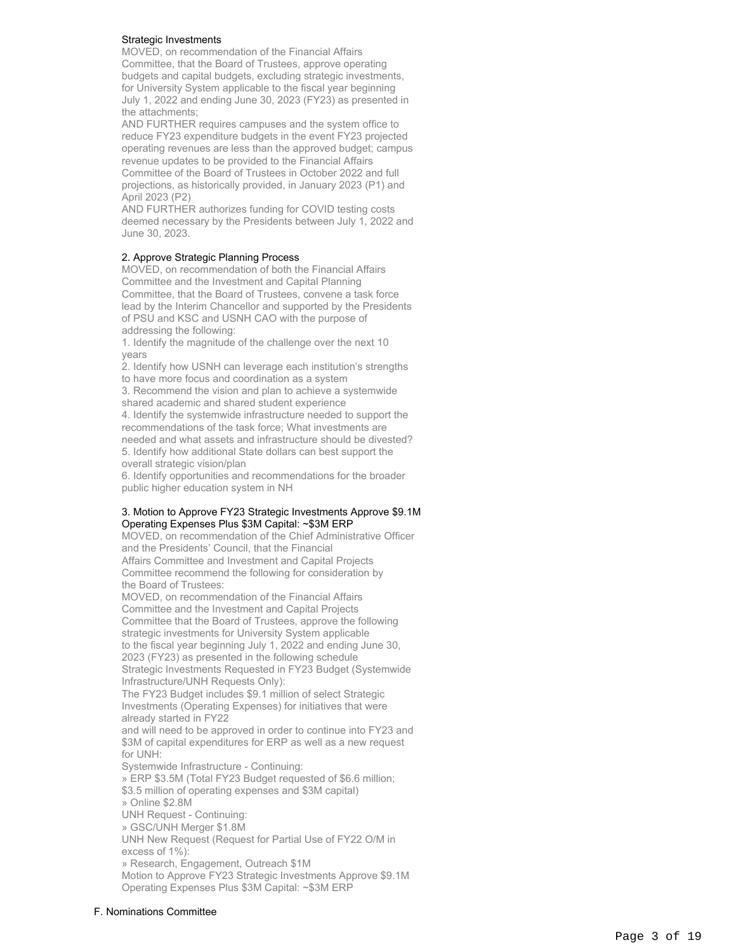#### Strategic Investments

MOVED, on recommendation of the Financial Affairs Committee, that the Board of Trustees, approve operating budgets and capital budgets, excluding strategic investments, for University System applicable to the fiscal year beginning July 1, 2022 and ending June 30, 2023 (FY23) as presented in the attachments;

AND FURTHER requires campuses and the system office to reduce FY23 expenditure budgets in the event FY23 projected operating revenues are less than the approved budget; campus revenue updates to be provided to the Financial Affairs Committee of the Board of Trustees in October 2022 and full projections, as historically provided, in January 2023 (P1) and April 2023 (P2)

AND FURTHER authorizes funding for COVID testing costs deemed necessary by the Presidents between July 1, 2022 and June 30, 2023.

#### 2. Approve Strategic Planning Process

MOVED, on recommendation of both the Financial Affairs Committee and the Investment and Capital Planning Committee, that the Board of Trustees, convene a task force lead by the Interim Chancellor and supported by the Presidents of PSU and KSC and USNH CAO with the purpose of addressing the following:

1. Identify the magnitude of the challenge over the next 10 years

2. Identify how USNH can leverage each institution's strengths

to have more focus and coordination as a system

3. Recommend the vision and plan to achieve a systemwide shared academic and shared student experience

4. Identify the systemwide infrastructure needed to support the recommendations of the task force; What investments are needed and what assets and infrastructure should be divested? 5. Identify how additional State dollars can best support the overall strategic vision/plan

6. Identify opportunities and recommendations for the broader public higher education system in NH

#### 3. Motion to Approve FY23 Strategic Investments Approve \$9.1M Operating Expenses Plus \$3M Capital: ~\$3M ERP

MOVED, on recommendation of the Chief Administrative Officer and the Presidents' Council, that the Financial Affairs Committee and Investment and Capital Projects Committee recommend the following for consideration by

the Board of Trustees: MOVED, on recommendation of the Financial Affairs Committee and the Investment and Capital Projects Committee that the Board of Trustees, approve the following strategic investments for University System applicable to the fiscal year beginning July 1, 2022 and ending June 30, 2023 (FY23) as presented in the following schedule Strategic Investments Requested in FY23 Budget (Systemwide Infrastructure/UNH Requests Only):

The FY23 Budget includes \$9.1 million of select Strategic Investments (Operating Expenses) for initiatives that were already started in FY22

and will need to be approved in order to continue into FY23 and \$3M of capital expenditures for ERP as well as a new request for UNH:

Systemwide Infrastructure - Continuing:

» ERP \$3.5M (Total FY23 Budget requested of \$6.6 million; \$3.5 million of operating expenses and \$3M capital)

» Online \$2.8M

UNH Request - Continuing:

» GSC/UNH Merger \$1.8M

UNH New Request (Request for Partial Use of FY22 O/M in excess of 1%):

» Research, Engagement, Outreach \$1M Motion to Approve FY23 Strategic Investments Approve \$9.1M Operating Expenses Plus \$3M Capital: ~\$3M ERP